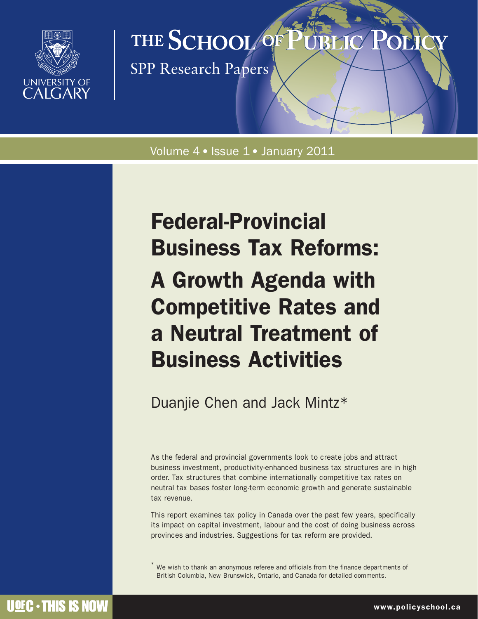

# THE SCHOOL OF

SPP Research Papers

Volume 4 · Issue 1 · January 2011

# Federal-Provincial Business Tax Reforms: A Growth Agenda with Competitive Rates and a Neutral Treatment of Business Activities

Duanjie Chen and Jack Mintz\*

As the federal and provincial governments look to create jobs and attract business investment, productivity-enhanced business tax structures are in high order. Tax structures that combine internationally competitive tax rates on neutral tax bases foster long-term economic growth and generate sustainable tax revenue.

This report examines tax policy in Canada over the past few years, specifically its impact on capital investment, labour and the cost of doing business across provinces and industries. Suggestions for tax reform are provided.

We wish to thank an anonymous referee and officials from the finance departments of British Columbia, New Brunswick, Ontario, and Canada for detailed comments.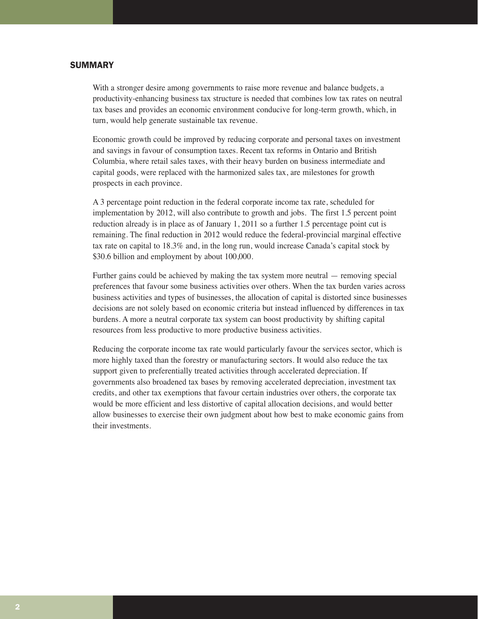# **SUMMARY**

With a stronger desire among governments to raise more revenue and balance budgets, a productivity-enhancing business tax structure is needed that combines low tax rates on neutral tax bases and provides an economic environment conducive for long-term growth, which, in turn, would help generate sustainable tax revenue.

Economic growth could be improved by reducing corporate and personal taxes on investment and savings in favour of consumption taxes. Recent tax reforms in Ontario and British Columbia, where retail sales taxes, with their heavy burden on business intermediate and capital goods, were replaced with the harmonized sales tax, are milestones for growth prospects in each province.

A 3 percentage point reduction in the federal corporate income tax rate, scheduled for implementation by 2012, will also contribute to growth and jobs. The first 1.5 percent point reduction already is in place as of January 1, 2011 so a further 1.5 percentage point cut is remaining. The final reduction in 2012 would reduce the federal-provincial marginal effective tax rate on capital to 18.3% and, in the long run, would increase Canada's capital stock by \$30.6 billion and employment by about 100,000.

Further gains could be achieved by making the tax system more neutral — removing special preferences that favour some business activities over others. When the tax burden varies across business activities and types of businesses, the allocation of capital is distorted since businesses decisions are not solely based on economic criteria but instead influenced by differences in tax burdens. A more a neutral corporate tax system can boost productivity by shifting capital resources from less productive to more productive business activities.

Reducing the corporate income tax rate would particularly favour the services sector, which is more highly taxed than the forestry or manufacturing sectors. It would also reduce the tax support given to preferentially treated activities through accelerated depreciation. If governments also broadened tax bases by removing accelerated depreciation, investment tax credits, and other tax exemptions that favour certain industries over others, the corporate tax would be more efficient and less distortive of capital allocation decisions, and would better allow businesses to exercise their own judgment about how best to make economic gains from their investments.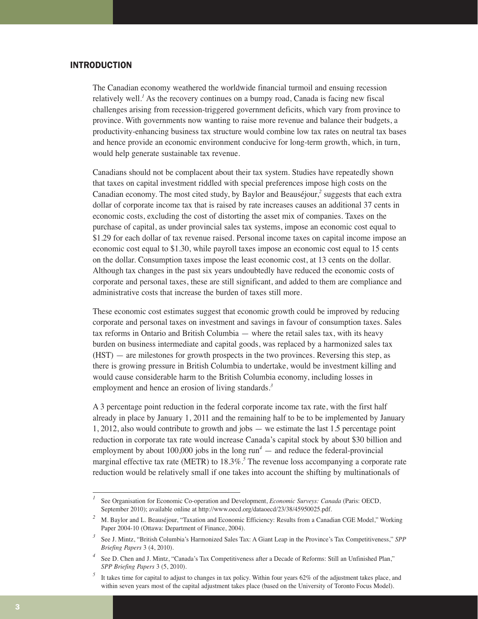# INTRODUCTION

The Canadian economy weathered the worldwide financial turmoil and ensuing recession relatively well.*<sup>1</sup>* As the recovery continues on a bumpy road, Canada is facing new fiscal challenges arising from recession-triggered government deficits, which vary from province to province. With governments now wanting to raise more revenue and balance their budgets, a productivity-enhancing business tax structure would combine low tax rates on neutral tax bases and hence provide an economic environment conducive for long-term growth, which, in turn, would help generate sustainable tax revenue.

Canadians should not be complacent about their tax system. Studies have repeatedly shown that taxes on capital investment riddled with special preferences impose high costs on the Canadian economy. The most cited study, by Baylor and Beauséjour,*<sup>2</sup>* suggests that each extra dollar of corporate income tax that is raised by rate increases causes an additional 37 cents in economic costs, excluding the cost of distorting the asset mix of companies. Taxes on the purchase of capital, as under provincial sales tax systems, impose an economic cost equal to \$1.29 for each dollar of tax revenue raised. Personal income taxes on capital income impose an economic cost equal to \$1.30, while payroll taxes impose an economic cost equal to 15 cents on the dollar. Consumption taxes impose the least economic cost, at 13 cents on the dollar. Although tax changes in the past six years undoubtedly have reduced the economic costs of corporate and personal taxes, these are still significant, and added to them are compliance and administrative costs that increase the burden of taxes still more.

These economic cost estimates suggest that economic growth could be improved by reducing corporate and personal taxes on investment and savings in favour of consumption taxes. Sales tax reforms in Ontario and British Columbia — where the retail sales tax, with its heavy burden on business intermediate and capital goods, was replaced by a harmonized sales tax (HST) — are milestones for growth prospects in the two provinces. Reversing this step, as there is growing pressure in British Columbia to undertake, would be investment killing and would cause considerable harm to the British Columbia economy, including losses in employment and hence an erosion of living standards.*<sup>3</sup>*

A 3 percentage point reduction in the federal corporate income tax rate, with the first half already in place by January 1, 2011 and the remaining half to be to be implemented by January 1, 2012, also would contribute to growth and jobs — we estimate the last 1.5 percentage point reduction in corporate tax rate would increase Canada's capital stock by about \$30 billion and employment by about 100,000 jobs in the long  $\text{run}^4$  — and reduce the federal-provincial marginal effective tax rate (METR) to  $18.3\%$ <sup>5</sup>. The revenue loss accompanying a corporate rate reduction would be relatively small if one takes into account the shifting by multinationals of

*<sup>1</sup>* See Organisation for Economic Co-operation and Development, *Economic Surveys: Canada* (Paris: OECD, September 2010); available online at http://www.oecd.org/dataoecd/23/38/45950025.pdf.

*<sup>2</sup>* M. Baylor and L. Beauséjour, "Taxation and Economic Efficiency: Results from a Canadian CGE Model," Working Paper 2004-10 (Ottawa: Department of Finance, 2004).

*<sup>3</sup>* See J. Mintz, "British Columbia's Harmonized Sales Tax: A Giant Leap in the Province's Tax Competitiveness," *SPP Briefing Papers* 3 (4, 2010).

<sup>&</sup>lt;sup>4</sup> See D. Chen and J. Mintz, "Canada's Tax Competitiveness after a Decade of Reforms: Still an Unfinished Plan," *SPP Briefing Papers* 3 (5, 2010).

<sup>&</sup>lt;sup>5</sup> It takes time for capital to adjust to changes in tax policy. Within four years 62% of the adjustment takes place, and within seven years most of the capital adjustment takes place (based on the University of Toronto Focus Model).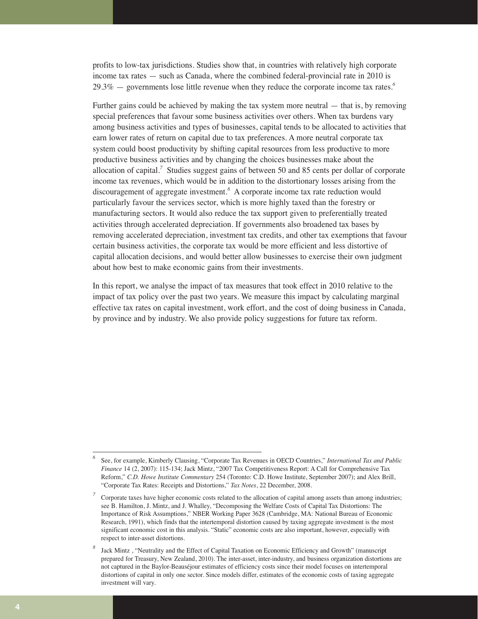profits to low-tax jurisdictions. Studies show that, in countries with relatively high corporate income tax rates — such as Canada, where the combined federal-provincial rate in 2010 is 29.3% — governments lose little revenue when they reduce the corporate income tax rates.*<sup>6</sup>*

Further gains could be achieved by making the tax system more neutral — that is, by removing special preferences that favour some business activities over others. When tax burdens vary among business activities and types of businesses, capital tends to be allocated to activities that earn lower rates of return on capital due to tax preferences. A more neutral corporate tax system could boost productivity by shifting capital resources from less productive to more productive business activities and by changing the choices businesses make about the allocation of capital.*<sup>7</sup>* Studies suggest gains of between 50 and 85 cents per dollar of corporate income tax revenues, which would be in addition to the distortionary losses arising from the discouragement of aggregate investment.*<sup>8</sup>* A corporate income tax rate reduction would particularly favour the services sector, which is more highly taxed than the forestry or manufacturing sectors. It would also reduce the tax support given to preferentially treated activities through accelerated depreciation. If governments also broadened tax bases by removing accelerated depreciation, investment tax credits, and other tax exemptions that favour certain business activities, the corporate tax would be more efficient and less distortive of capital allocation decisions, and would better allow businesses to exercise their own judgment about how best to make economic gains from their investments.

In this report, we analyse the impact of tax measures that took effect in 2010 relative to the impact of tax policy over the past two years. We measure this impact by calculating marginal effective tax rates on capital investment, work effort, and the cost of doing business in Canada, by province and by industry. We also provide policy suggestions for future tax reform.

*<sup>6</sup>* See, for example, Kimberly Clausing, "Corporate Tax Revenues in OECD Countries," *International Tax and Public Finance* 14 (2, 2007): 115-134; Jack Mintz, "2007 Tax Competitiveness Report: A Call for Comprehensive Tax Reform," *C.D. Howe Institute Commentary* 254 (Toronto: C.D. Howe Institute, September 2007); and Alex Brill, "Corporate Tax Rates: Receipts and Distortions," *Tax Notes*, 22 December, 2008.

*<sup>7</sup>* Corporate taxes have higher economic costs related to the allocation of capital among assets than among industries; see B. Hamilton, J. Mintz, and J. Whalley, "Decomposing the Welfare Costs of Capital Tax Distortions: The Importance of Risk Assumptions," NBER Working Paper 3628 (Cambridge, MA: National Bureau of Economic Research, 1991), which finds that the intertemporal distortion caused by taxing aggregate investment is the most significant economic cost in this analysis. "Static" economic costs are also important, however, especially with respect to inter-asset distortions.

Jack Mintz , "Neutrality and the Effect of Capital Taxation on Economic Efficiency and Growth" (manuscript prepared for Treasury, New Zealand, 2010). The inter-asset, inter-industry, and business organization distortions are not captured in the Baylor-Beauséjour estimates of efficiency costs since their model focuses on intertemporal distortions of capital in only one sector. Since models differ, estimates of the economic costs of taxing aggregate investment will vary.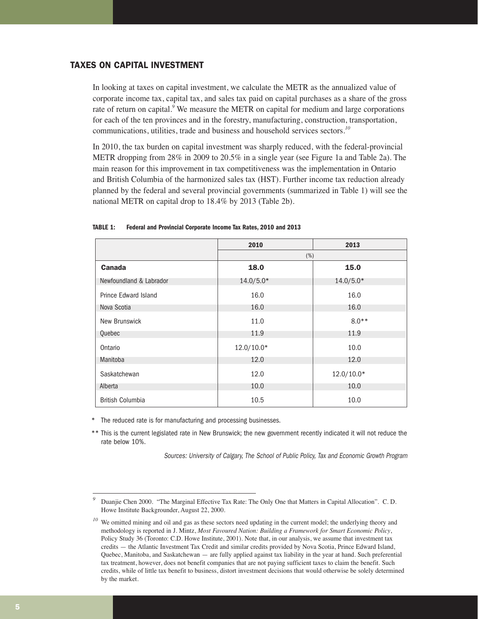# TAXES ON CAPITAL INVESTMENT

In looking at taxes on capital investment, we calculate the METR as the annualized value of corporate income tax, capital tax, and sales tax paid on capital purchases as a share of the gross rate of return on capital.*<sup>9</sup>* We measure the METR on capital for medium and large corporations for each of the ten provinces and in the forestry, manufacturing, construction, transportation, communications, utilities, trade and business and household services sectors.*<sup>10</sup>*

In 2010, the tax burden on capital investment was sharply reduced, with the federal-provincial METR dropping from 28% in 2009 to 20.5% in a single year (see Figure 1a and Table 2a). The main reason for this improvement in tax competitiveness was the implementation in Ontario and British Columbia of the harmonized sales tax (HST). Further income tax reduction already planned by the federal and several provincial governments (summarized in Table 1) will see the national METR on capital drop to 18.4% by 2013 (Table 2b).

|                         | 2010         | 2013         |  |  |  |  |
|-------------------------|--------------|--------------|--|--|--|--|
|                         | (%)          |              |  |  |  |  |
| <b>Canada</b>           | 18.0         | 15.0         |  |  |  |  |
| Newfoundland & Labrador | $14.0/5.0*$  | $14.0/5.0*$  |  |  |  |  |
| Prince Edward Island    | 16.0         | 16.0         |  |  |  |  |
| Nova Scotia             | 16.0         | 16.0         |  |  |  |  |
| New Brunswick           | 11.0         | $8.0**$      |  |  |  |  |
| Quebec                  | 11.9         | 11.9         |  |  |  |  |
| Ontario                 | $12.0/10.0*$ | 10.0         |  |  |  |  |
| Manitoba                | 12.0         | 12.0         |  |  |  |  |
| Saskatchewan            | 12.0         | $12.0/10.0*$ |  |  |  |  |
| Alberta                 | 10.0         | 10.0         |  |  |  |  |
| <b>British Columbia</b> | 10.5         | 10.0         |  |  |  |  |

#### **TABLE 1: Federal and Provincial Corporate Income Tax Rates, 2010 and 2013**

The reduced rate is for manufacturing and processing businesses.

\*\* This is the current legislated rate in New Brunswick; the new government recently indicated it will not reduce the rate below 10%.

Sources: University of Calgary, The School of Public Policy, Tax and Economic Growth Program

*<sup>9</sup>* Duanjie Chen 2000. "The Marginal Effective Tax Rate: The Only One that Matters in Capital Allocation". C. D. Howe Institute Backgrounder, August 22, 2000.

We omitted mining and oil and gas as these sectors need updating in the current model; the underlying theory and methodology is reported in J. Mintz, *Most Favoured Nation: Building a Framework for Smart Economic Policy*, Policy Study 36 (Toronto: C.D. Howe Institute, 2001). Note that, in our analysis, we assume that investment tax credits — the Atlantic Investment Tax Credit and similar credits provided by Nova Scotia, Prince Edward Island, Quebec, Manitoba, and Saskatchewan — are fully applied against tax liability in the year at hand. Such preferential tax treatment, however, does not benefit companies that are not paying sufficient taxes to claim the benefit. Such credits, while of little tax benefit to business, distort investment decisions that would otherwise be solely determined by the market.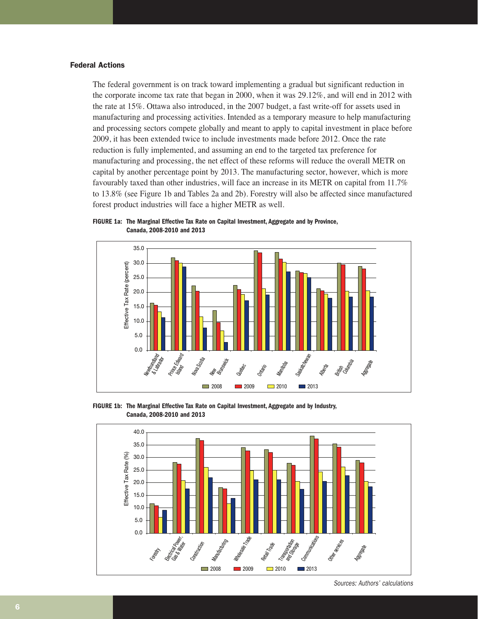# Federal Actions

The federal government is on track toward implementing a gradual but significant reduction in the corporate income tax rate that began in 2000, when it was 29.12%, and will end in 2012 with the rate at 15%. Ottawa also introduced, in the 2007 budget, a fast write-off for assets used in manufacturing and processing activities. Intended as a temporary measure to help manufacturing and processing sectors compete globally and meant to apply to capital investment in place before 2009, it has been extended twice to include investments made before 2012. Once the rate reduction is fully implemented, and assuming an end to the targeted tax preference for manufacturing and processing, the net effect of these reforms will reduce the overall METR on capital by another percentage point by 2013. The manufacturing sector, however, which is more favourably taxed than other industries, will face an increase in its METR on capital from 11.7% to 13.8% (see Figure 1b and Tables 2a and 2b). Forestry will also be affected since manufactured forest product industries will face a higher METR as well.

**FIGURE 1a: The Marginal Effective Tax Rate on Capital Investment, Aggregate and by Province, Canada, 2008-2010 and 2013**



**FIGURE 1b: The Marginal Effective Tax Rate on Capital Investment, Aggregate and by Industry, Canada, 2008-2010 and 2013**



Sources: Authors' calculations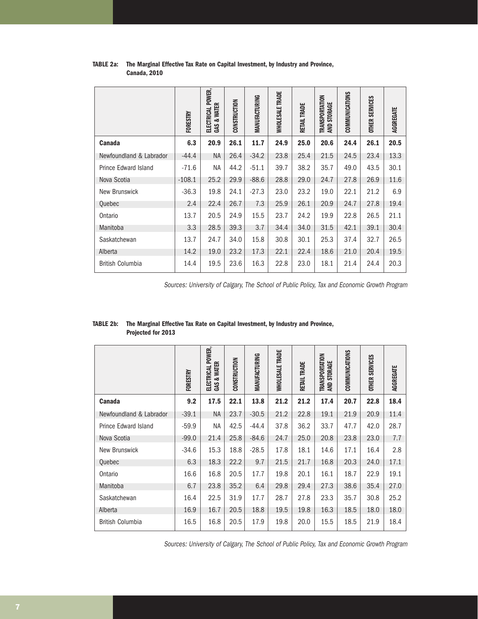| TABLE 2a: The Marginal Effective Tax Rate on Capital Investment, by Industry and Province, |
|--------------------------------------------------------------------------------------------|
| <b>Canada, 2010</b>                                                                        |

|                             | <b>FORESTRY</b> | POWER,<br><b>GAS &amp; WATER</b><br><b>ELECTRICAL</b> | CONSTRUCTION | MANUFACTURING | <b>WHOLESALE TRADE</b> | RETAIL TRADE | <b>TRANSPORTATION</b><br>STORAGE<br><b>AND</b> | <b>COMMUNICATIONS</b> | <b>OTHER SERVICES</b> | AGGREGATE |
|-----------------------------|-----------------|-------------------------------------------------------|--------------|---------------|------------------------|--------------|------------------------------------------------|-----------------------|-----------------------|-----------|
| <b>Canada</b>               | 6.3             | 20.9                                                  | 26.1         | 11.7          | 24.9                   | 25.0         | 20.6                                           | 24.4                  | 26.1                  | 20.5      |
| Newfoundland & Labrador     | $-44.4$         | NA                                                    | 26.4         | $-34.2$       | 23.8                   | 25.4         | 21.5                                           | 24.5                  | 23.4                  | 13.3      |
| <b>Prince Edward Island</b> | $-71.6$         | <b>NA</b>                                             | 44.2         | $-51.1$       | 39.7                   | 38.2         | 35.7                                           | 49.0                  | 43.5                  | 30.1      |
| Nova Scotia                 | $-108.1$        | 25.2                                                  | 29.9         | $-88.6$       | 28.8                   | 29.0         | 24.7                                           | 27.8                  | 26.9                  | 11.6      |
| New Brunswick               | $-36.3$         | 19.8                                                  | 24.1         | $-27.3$       | 23.0                   | 23.2         | 19.0                                           | 22.1                  | 21.2                  | 6.9       |
| Quebec                      | 2.4             | 22.4                                                  | 26.7         | 7.3           | 25.9                   | 26.1         | 20.9                                           | 24.7                  | 27.8                  | 19.4      |
| Ontario                     | 13.7            | 20.5                                                  | 24.9         | 15.5          | 23.7                   | 24.2         | 19.9                                           | 22.8                  | 26.5                  | 21.1      |
| Manitoba                    | 3.3             | 28.5                                                  | 39.3         | 3.7           | 34.4                   | 34.0         | 31.5                                           | 42.1                  | 39.1                  | 30.4      |
| Saskatchewan                | 13.7            | 24.7                                                  | 34.0         | 15.8          | 30.8                   | 30.1         | 25.3                                           | 37.4                  | 32.7                  | 26.5      |
| Alberta                     | 14.2            | 19.0                                                  | 23.2         | 17.3          | 22.1                   | 22.4         | 18.6                                           | 21.0                  | 20.4                  | 19.5      |
| <b>British Columbia</b>     | 14.4            | 19.5                                                  | 23.6         | 16.3          | 22.8                   | 23.0         | 18.1                                           | 21.4                  | 24.4                  | 20.3      |

Sources: University of Calgary, The School of Public Policy, Tax and Economic Growth Program

# **TABLE 2b: The Marginal Effective Tax Rate on Capital Investment, by Industry and Province, Projected for 2013**

|                             | FORESTRY | POWER,<br>GAS & WATER<br>ELECTRICAL | CONSTRUCTION | MANUFACTURING | <b>WHOLESALE TRADE</b> | RETAIL TRADE | TRANSPORTATION<br>STORAGE<br>ЯND | COMMUNICATIONS | <b>OTHER SERVICES</b> | AGGREGATE |
|-----------------------------|----------|-------------------------------------|--------------|---------------|------------------------|--------------|----------------------------------|----------------|-----------------------|-----------|
| <b>Canada</b>               | 9.2      | 17.5                                | 22.1         | 13.8          | 21.2                   | 21.2         | 17.4                             | 20.7           | 22.8                  | 18.4      |
| Newfoundland & Labrador     | $-39.1$  | NA                                  | 23.7         | $-30.5$       | 21.2                   | 22.8         | 19.1                             | 21.9           | 20.9                  | 11.4      |
| <b>Prince Edward Island</b> | $-59.9$  | <b>NA</b>                           | 42.5         | $-44.4$       | 37.8                   | 36.2         | 33.7                             | 47.7           | 42.0                  | 28.7      |
| Nova Scotia                 | $-99.0$  | 21.4                                | 25.8         | $-84.6$       | 24.7                   | 25.0         | 20.8                             | 23.8           | 23.0                  | 7.7       |
| New Brunswick               | $-34.6$  | 15.3                                | 18.8         | $-28.5$       | 17.8                   | 18.1         | 14.6                             | 17.1           | 16.4                  | 2.8       |
| Quebec                      | 6.3      | 18.3                                | 22.2         | 9.7           | 21.5                   | 21.7         | 16.8                             | 20.3           | 24.0                  | 17.1      |
| Ontario                     | 16.6     | 16.8                                | 20.5         | 17.7          | 19.8                   | 20.1         | 16.1                             | 18.7           | 22.9                  | 19.1      |
| Manitoba                    | 6.7      | 23.8                                | 35.2         | 6.4           | 29.8                   | 29.4         | 27.3                             | 38.6           | 35.4                  | 27.0      |
| Saskatchewan                | 16.4     | 22.5                                | 31.9         | 17.7          | 28.7                   | 27.8         | 23.3                             | 35.7           | 30.8                  | 25.2      |
| Alberta                     | 16.9     | 16.7                                | 20.5         | 18.8          | 19.5                   | 19.8         | 16.3                             | 18.5           | 18.0                  | 18.0      |
| British Columbia            | 16.5     | 16.8                                | 20.5         | 17.9          | 19.8                   | 20.0         | 15.5                             | 18.5           | 21.9                  | 18.4      |

Sources: University of Calgary, The School of Public Policy, Tax and Economic Growth Program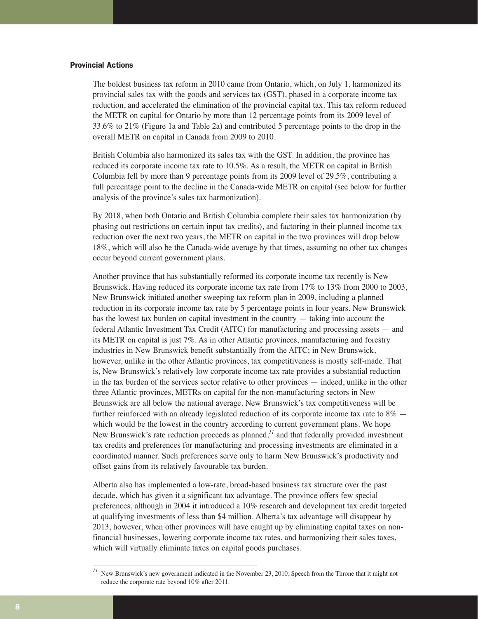# Provincial Actions

The boldest business tax reform in 2010 came from Ontario, which, on July 1, harmonized its provincial sales tax with the goods and services tax (GST), phased in a corporate income tax reduction, and accelerated the elimination of the provincial capital tax. This tax reform reduced the METR on capital for Ontario by more than 12 percentage points from its 2009 level of 33.6% to 21% (Figure 1a and Table 2a) and contributed 5 percentage points to the drop in the overall METR on capital in Canada from 2009 to 2010.

British Columbia also harmonized its sales tax with the GST. In addition, the province has reduced its corporate income tax rate to 10.5%. As a result, the METR on capital in British Columbia fell by more than 9 percentage points from its 2009 level of 29.5%, contributing a full percentage point to the decline in the Canada-wide METR on capital (see below for further analysis of the province's sales tax harmonization).

By 2018, when both Ontario and British Columbia complete their sales tax harmonization (by phasing out restrictions on certain input tax credits), and factoring in their planned income tax reduction over the next two years, the METR on capital in the two provinces will drop below 18%, which will also be the Canada-wide average by that times, assuming no other tax changes occur beyond current government plans.

Another province that has substantially reformed its corporate income tax recently is New Brunswick. Having reduced its corporate income tax rate from 17% to 13% from 2000 to 2003, New Brunswick initiated another sweeping tax reform plan in 2009, including a planned reduction in its corporate income tax rate by 5 percentage points in four years. New Brunswick has the lowest tax burden on capital investment in the country — taking into account the federal Atlantic Investment Tax Credit (AITC) for manufacturing and processing assets — and its METR on capital is just 7%. As in other Atlantic provinces, manufacturing and forestry industries in New Brunswick benefit substantially from the AITC; in New Brunswick, however, unlike in the other Atlantic provinces, tax competitiveness is mostly self-made. That is, New Brunswick's relatively low corporate income tax rate provides a substantial reduction in the tax burden of the services sector relative to other provinces — indeed, unlike in the other three Atlantic provinces, METRs on capital for the non-manufacturing sectors in New Brunswick are all below the national average. New Brunswick's tax competitiveness will be further reinforced with an already legislated reduction of its corporate income tax rate to  $8\%$   $$ which would be the lowest in the country according to current government plans. We hope New Brunswick's rate reduction proceeds as planned,*<sup>11</sup>* and that federally provided investment tax credits and preferences for manufacturing and processing investments are eliminated in a coordinated manner. Such preferences serve only to harm New Brunswick's productivity and offset gains from its relatively favourable tax burden.

Alberta also has implemented a low-rate, broad-based business tax structure over the past decade, which has given it a significant tax advantage. The province offers few special preferences, although in 2004 it introduced a 10% research and development tax credit targeted at qualifying investments of less than \$4 million. Alberta's tax advantage will disappear by 2013, however, when other provinces will have caught up by eliminating capital taxes on nonfinancial businesses, lowering corporate income tax rates, and harmonizing their sales taxes, which will virtually eliminate taxes on capital goods purchases.

<sup>&</sup>lt;sup>11</sup> New Brunswick's new government indicated in the November 23, 2010, Speech from the Throne that it might not reduce the corporate rate beyond 10% after 2011.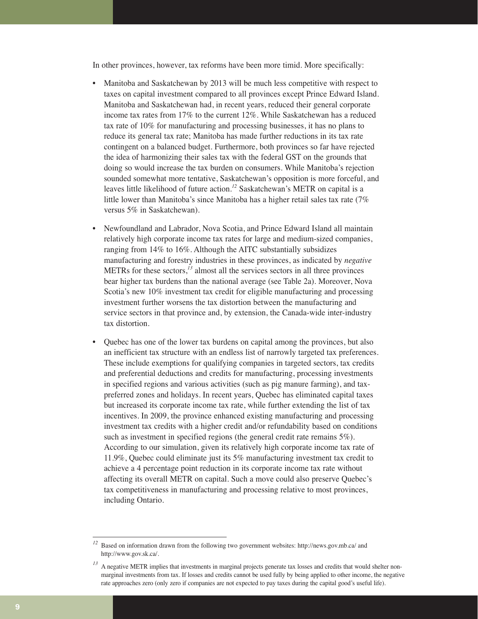In other provinces, however, tax reforms have been more timid. More specifically:

- Manitoba and Saskatchewan by 2013 will be much less competitive with respect to taxes on capital investment compared to all provinces except Prince Edward Island. Manitoba and Saskatchewan had, in recent years, reduced their general corporate income tax rates from 17% to the current 12%. While Saskatchewan has a reduced tax rate of 10% for manufacturing and processing businesses, it has no plans to reduce its general tax rate; Manitoba has made further reductions in its tax rate contingent on a balanced budget. Furthermore, both provinces so far have rejected the idea of harmonizing their sales tax with the federal GST on the grounds that doing so would increase the tax burden on consumers. While Manitoba's rejection sounded somewhat more tentative, Saskatchewan's opposition is more forceful, and leaves little likelihood of future action.*<sup>12</sup>* Saskatchewan's METR on capital is a little lower than Manitoba's since Manitoba has a higher retail sales tax rate (7% versus 5% in Saskatchewan).
- Newfoundland and Labrador, Nova Scotia, and Prince Edward Island all maintain relatively high corporate income tax rates for large and medium-sized companies, ranging from 14% to 16%. Although the AITC substantially subsidizes manufacturing and forestry industries in these provinces, as indicated by *negative* METRs for these sectors,*<sup>13</sup>* almost all the services sectors in all three provinces bear higher tax burdens than the national average (see Table 2a). Moreover, Nova Scotia's new 10% investment tax credit for eligible manufacturing and processing investment further worsens the tax distortion between the manufacturing and service sectors in that province and, by extension, the Canada-wide inter-industry tax distortion.
- Quebec has one of the lower tax burdens on capital among the provinces, but also an inefficient tax structure with an endless list of narrowly targeted tax preferences. These include exemptions for qualifying companies in targeted sectors, tax credits and preferential deductions and credits for manufacturing, processing investments in specified regions and various activities (such as pig manure farming), and taxpreferred zones and holidays. In recent years, Quebec has eliminated capital taxes but increased its corporate income tax rate, while further extending the list of tax incentives. In 2009, the province enhanced existing manufacturing and processing investment tax credits with a higher credit and/or refundability based on conditions such as investment in specified regions (the general credit rate remains 5%). According to our simulation, given its relatively high corporate income tax rate of 11.9%, Quebec could eliminate just its 5% manufacturing investment tax credit to achieve a 4 percentage point reduction in its corporate income tax rate without affecting its overall METR on capital. Such a move could also preserve Quebec's tax competitiveness in manufacturing and processing relative to most provinces, including Ontario.

*<sup>12</sup>* Based on information drawn from the following two government websites: http://news.gov.mb.ca/ and http://www.gov.sk.ca/.

<sup>&</sup>lt;sup>13</sup> A negative METR implies that investments in marginal projects generate tax losses and credits that would shelter nonmarginal investments from tax. If losses and credits cannot be used fully by being applied to other income, the negative rate approaches zero (only zero if companies are not expected to pay taxes during the capital good's useful life).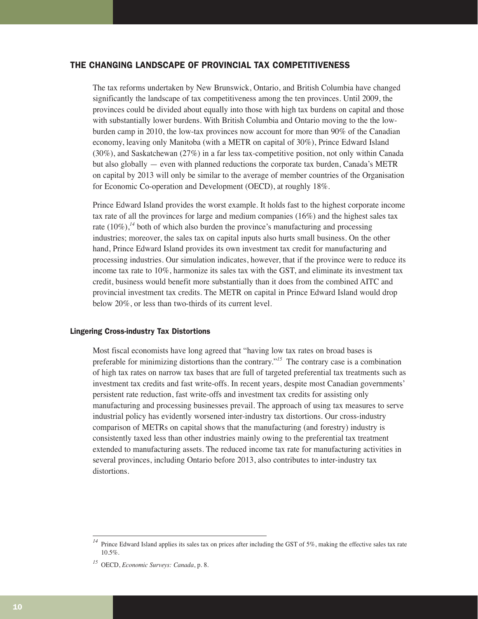# THE CHANGING LANDSCAPE OF PROVINCIAL TAX COMPETITIVENESS

The tax reforms undertaken by New Brunswick, Ontario, and British Columbia have changed significantly the landscape of tax competitiveness among the ten provinces. Until 2009, the provinces could be divided about equally into those with high tax burdens on capital and those with substantially lower burdens. With British Columbia and Ontario moving to the the lowburden camp in 2010, the low-tax provinces now account for more than 90% of the Canadian economy, leaving only Manitoba (with a METR on capital of 30%), Prince Edward Island (30%), and Saskatchewan (27%) in a far less tax-competitive position, not only within Canada but also globally — even with planned reductions the corporate tax burden, Canada's METR on capital by 2013 will only be similar to the average of member countries of the Organisation for Economic Co-operation and Development (OECD), at roughly 18%.

Prince Edward Island provides the worst example. It holds fast to the highest corporate income tax rate of all the provinces for large and medium companies (16%) and the highest sales tax rate  $(10\%)$ ,<sup>14</sup> both of which also burden the province's manufacturing and processing industries; moreover, the sales tax on capital inputs also hurts small business. On the other hand, Prince Edward Island provides its own investment tax credit for manufacturing and processing industries. Our simulation indicates, however, that if the province were to reduce its income tax rate to 10%, harmonize its sales tax with the GST, and eliminate its investment tax credit, business would benefit more substantially than it does from the combined AITC and provincial investment tax credits. The METR on capital in Prince Edward Island would drop below 20%, or less than two-thirds of its current level.

# Lingering Cross-industry Tax Distortions

Most fiscal economists have long agreed that "having low tax rates on broad bases is preferable for minimizing distortions than the contrary."*<sup>15</sup>* The contrary case is a combination of high tax rates on narrow tax bases that are full of targeted preferential tax treatments such as investment tax credits and fast write-offs. In recent years, despite most Canadian governments' persistent rate reduction, fast write-offs and investment tax credits for assisting only manufacturing and processing businesses prevail. The approach of using tax measures to serve industrial policy has evidently worsened inter-industry tax distortions. Our cross-industry comparison of METRs on capital shows that the manufacturing (and forestry) industry is consistently taxed less than other industries mainly owing to the preferential tax treatment extended to manufacturing assets. The reduced income tax rate for manufacturing activities in several provinces, including Ontario before 2013, also contributes to inter-industry tax distortions.

<sup>&</sup>lt;sup>14</sup> Prince Edward Island applies its sales tax on prices after including the GST of 5%, making the effective sales tax rate 10.5%.

*<sup>15</sup>* OECD, *Economic Surveys: Canada*, p. 8.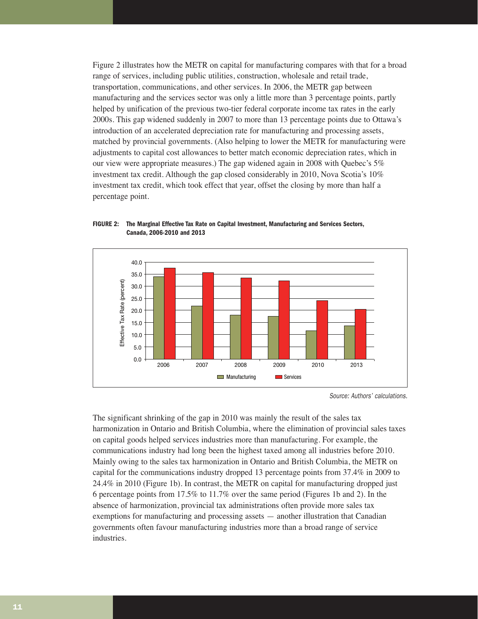Figure 2 illustrates how the METR on capital for manufacturing compares with that for a broad range of services, including public utilities, construction, wholesale and retail trade, transportation, communications, and other services. In 2006, the METR gap between manufacturing and the services sector was only a little more than 3 percentage points, partly helped by unification of the previous two-tier federal corporate income tax rates in the early 2000s. This gap widened suddenly in 2007 to more than 13 percentage points due to Ottawa's introduction of an accelerated depreciation rate for manufacturing and processing assets, matched by provincial governments. (Also helping to lower the METR for manufacturing were adjustments to capital cost allowances to better match economic depreciation rates, which in our view were appropriate measures.) The gap widened again in 2008 with Quebec's 5% investment tax credit. Although the gap closed considerably in 2010, Nova Scotia's 10% investment tax credit, which took effect that year, offset the closing by more than half a percentage point.



**FIGURE 2: The Marginal Effective Tax Rate on Capital Investment, Manufacturing and Services Sectors, Canada, 2006-2010 and 2013**

Source: Authors' calculations.

The significant shrinking of the gap in 2010 was mainly the result of the sales tax harmonization in Ontario and British Columbia, where the elimination of provincial sales taxes on capital goods helped services industries more than manufacturing. For example, the communications industry had long been the highest taxed among all industries before 2010. Mainly owing to the sales tax harmonization in Ontario and British Columbia, the METR on capital for the communications industry dropped 13 percentage points from 37.4% in 2009 to 24.4% in 2010 (Figure 1b). In contrast, the METR on capital for manufacturing dropped just 6 percentage points from 17.5% to 11.7% over the same period (Figures 1b and 2). In the absence of harmonization, provincial tax administrations often provide more sales tax exemptions for manufacturing and processing assets — another illustration that Canadian governments often favour manufacturing industries more than a broad range of service industries.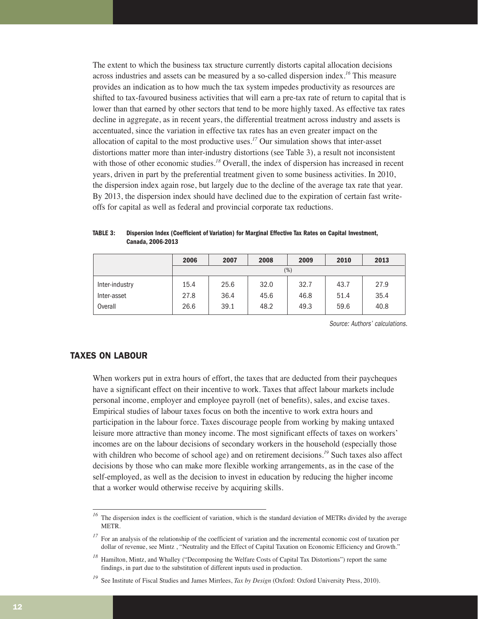The extent to which the business tax structure currently distorts capital allocation decisions across industries and assets can be measured by a so-called dispersion index.*<sup>16</sup>* This measure provides an indication as to how much the tax system impedes productivity as resources are shifted to tax-favoured business activities that will earn a pre-tax rate of return to capital that is lower than that earned by other sectors that tend to be more highly taxed. As effective tax rates decline in aggregate, as in recent years, the differential treatment across industry and assets is accentuated, since the variation in effective tax rates has an even greater impact on the allocation of capital to the most productive uses.*<sup>17</sup>* Our simulation shows that inter-asset distortions matter more than inter-industry distortions (see Table 3), a result not inconsistent with those of other economic studies.<sup>18</sup> Overall, the index of dispersion has increased in recent years, driven in part by the preferential treatment given to some business activities. In 2010, the dispersion index again rose, but largely due to the decline of the average tax rate that year. By 2013, the dispersion index should have declined due to the expiration of certain fast writeoffs for capital as well as federal and provincial corporate tax reductions.

|                | 2006 | 2007 | 2008 | 2009 | 2010 | 2013 |
|----------------|------|------|------|------|------|------|
|                |      |      |      | (%)  |      |      |
| Inter-industry | 15.4 | 25.6 | 32.0 | 32.7 | 43.7 | 27.9 |
| Inter-asset    | 27.8 | 36.4 | 45.6 | 46.8 | 51.4 | 35.4 |
| Overall        | 26.6 | 39.1 | 48.2 | 49.3 | 59.6 | 40.8 |

**TABLE 3: Dispersion Index (Coefficient of Variation) for Marginal Effective Tax Rates on Capital Investment, Canada, 2006-2013**

Source: Authors' calculations.

# TAXES ON LABOUR

When workers put in extra hours of effort, the taxes that are deducted from their paycheques have a significant effect on their incentive to work. Taxes that affect labour markets include personal income, employer and employee payroll (net of benefits), sales, and excise taxes. Empirical studies of labour taxes focus on both the incentive to work extra hours and participation in the labour force. Taxes discourage people from working by making untaxed leisure more attractive than money income. The most significant effects of taxes on workers' incomes are on the labour decisions of secondary workers in the household (especially those with children who become of school age) and on retirement decisions.<sup>19</sup> Such taxes also affect decisions by those who can make more flexible working arrangements, as in the case of the self-employed, as well as the decision to invest in education by reducing the higher income that a worker would otherwise receive by acquiring skills.

<sup>&</sup>lt;sup>16</sup> The dispersion index is the coefficient of variation, which is the standard deviation of METRs divided by the average METR.

For an analysis of the relationship of the coefficient of variation and the incremental economic cost of taxation per dollar of revenue, see Mintz , "Neutrality and the Effect of Capital Taxation on Economic Efficiency and Growth."

*<sup>18</sup>* Hamilton, Mintz, and Whalley ("Decomposing the Welfare Costs of Capital Tax Distortions") report the same findings, in part due to the substitution of different inputs used in production.

*<sup>19</sup>* See Institute of Fiscal Studies and James Mirrlees, *Tax by Design* (Oxford: Oxford University Press, 2010).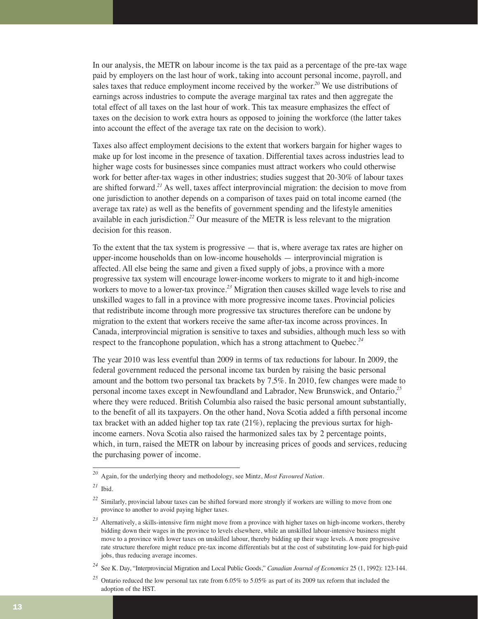In our analysis, the METR on labour income is the tax paid as a percentage of the pre-tax wage paid by employers on the last hour of work, taking into account personal income, payroll, and sales taxes that reduce employment income received by the worker.*<sup>20</sup>* We use distributions of earnings across industries to compute the average marginal tax rates and then aggregate the total effect of all taxes on the last hour of work. This tax measure emphasizes the effect of taxes on the decision to work extra hours as opposed to joining the workforce (the latter takes into account the effect of the average tax rate on the decision to work).

Taxes also affect employment decisions to the extent that workers bargain for higher wages to make up for lost income in the presence of taxation. Differential taxes across industries lead to higher wage costs for businesses since companies must attract workers who could otherwise work for better after-tax wages in other industries; studies suggest that 20-30% of labour taxes are shifted forward.*<sup>21</sup>* As well, taxes affect interprovincial migration: the decision to move from one jurisdiction to another depends on a comparison of taxes paid on total income earned (the average tax rate) as well as the benefits of government spending and the lifestyle amenities available in each jurisdiction.*<sup>22</sup>* Our measure of the METR is less relevant to the migration decision for this reason.

To the extent that the tax system is progressive — that is, where average tax rates are higher on upper-income households than on low-income households — interprovincial migration is affected. All else being the same and given a fixed supply of jobs, a province with a more progressive tax system will encourage lower-income workers to migrate to it and high-income workers to move to a lower-tax province.*<sup>23</sup>* Migration then causes skilled wage levels to rise and unskilled wages to fall in a province with more progressive income taxes. Provincial policies that redistribute income through more progressive tax structures therefore can be undone by migration to the extent that workers receive the same after-tax income across provinces. In Canada, interprovincial migration is sensitive to taxes and subsidies, although much less so with respect to the francophone population, which has a strong attachment to Quebec.*<sup>24</sup>*

The year 2010 was less eventful than 2009 in terms of tax reductions for labour. In 2009, the federal government reduced the personal income tax burden by raising the basic personal amount and the bottom two personal tax brackets by 7.5%. In 2010, few changes were made to personal income taxes except in Newfoundland and Labrador, New Brunswick, and Ontario,*<sup>25</sup>* where they were reduced. British Columbia also raised the basic personal amount substantially, to the benefit of all its taxpayers. On the other hand, Nova Scotia added a fifth personal income tax bracket with an added higher top tax rate  $(21\%)$ , replacing the previous surtax for highincome earners. Nova Scotia also raised the harmonized sales tax by 2 percentage points, which, in turn, raised the METR on labour by increasing prices of goods and services, reducing the purchasing power of income.

*<sup>20</sup>* Again, for the underlying theory and methodology, see Mintz, *Most Favoured Nation*.

*<sup>21</sup>* Ibid.

*<sup>22</sup>* Similarly, provincial labour taxes can be shifted forward more strongly if workers are willing to move from one province to another to avoid paying higher taxes.

*<sup>23</sup>* Alternatively, a skills-intensive firm might move from a province with higher taxes on high-income workers, thereby bidding down their wages in the province to levels elsewhere, while an unskilled labour-intensive business might move to a province with lower taxes on unskilled labour, thereby bidding up their wage levels. A more progressive rate structure therefore might reduce pre-tax income differentials but at the cost of substituting low-paid for high-paid jobs, thus reducing average incomes.

*<sup>24</sup>* See K. Day, "Interprovincial Migration and Local Public Goods," *Canadian Journal of Economics* 25 (1, 1992): 123-144.

*<sup>25</sup>* Ontario reduced the low personal tax rate from 6.05% to 5.05% as part of its 2009 tax reform that included the adoption of the HST.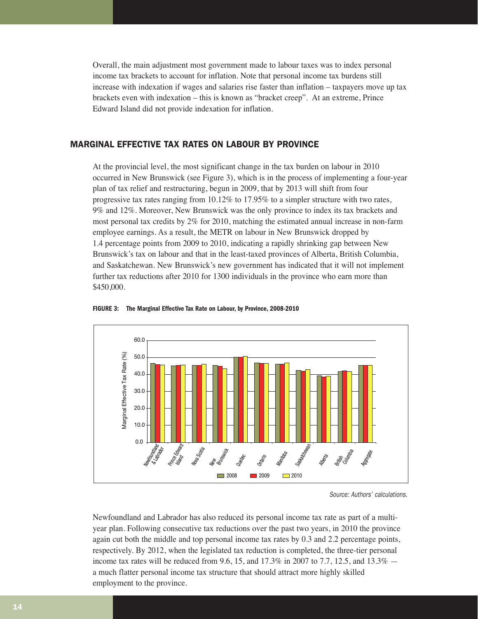Overall, the main adjustment most government made to labour taxes was to index personal income tax brackets to account for inflation. Note that personal income tax burdens still increase with indexation if wages and salaries rise faster than inflation – taxpayers move up tax brackets even with indexation – this is known as "bracket creep". At an extreme, Prince Edward Island did not provide indexation for inflation.

# MARGINAL EFFECTIVE TAX RATES ON LABOUR BY PROVINCE

At the provincial level, the most significant change in the tax burden on labour in 2010 occurred in New Brunswick (see Figure 3), which is in the process of implementing a four-year plan of tax relief and restructuring, begun in 2009, that by 2013 will shift from four progressive tax rates ranging from 10.12% to 17.95% to a simpler structure with two rates, 9% and 12%. Moreover, New Brunswick was the only province to index its tax brackets and most personal tax credits by 2% for 2010, matching the estimated annual increase in non-farm employee earnings. As a result, the METR on labour in New Brunswick dropped by 1.4 percentage points from 2009 to 2010, indicating a rapidly shrinking gap between New Brunswick's tax on labour and that in the least-taxed provinces of Alberta, British Columbia, and Saskatchewan. New Brunswick's new government has indicated that it will not implement further tax reductions after 2010 for 1300 individuals in the province who earn more than \$450,000.





Source: Authors' calculations.

Newfoundland and Labrador has also reduced its personal income tax rate as part of a multiyear plan. Following consecutive tax reductions over the past two years, in 2010 the province again cut both the middle and top personal income tax rates by 0.3 and 2.2 percentage points, respectively. By 2012, when the legislated tax reduction is completed, the three-tier personal income tax rates will be reduced from 9.6, 15, and 17.3% in 2007 to 7.7, 12.5, and 13.3% a much flatter personal income tax structure that should attract more highly skilled employment to the province.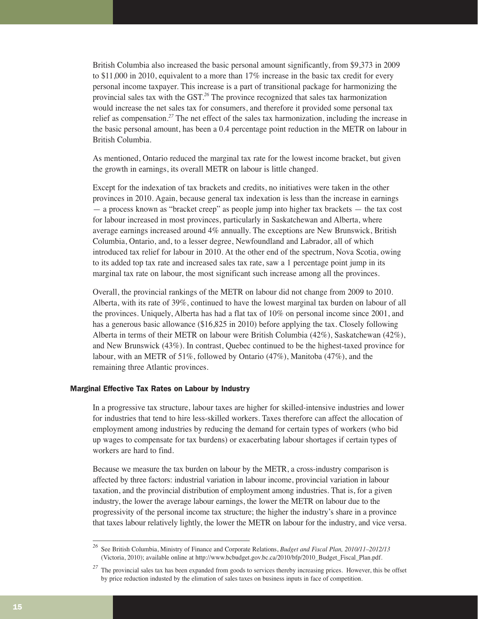British Columbia also increased the basic personal amount significantly, from \$9,373 in 2009 to \$11,000 in 2010, equivalent to a more than 17% increase in the basic tax credit for every personal income taxpayer. This increase is a part of transitional package for harmonizing the provincial sales tax with the GST.*<sup>26</sup>* The province recognized that sales tax harmonization would increase the net sales tax for consumers, and therefore it provided some personal tax relief as compensation.*<sup>27</sup>* The net effect of the sales tax harmonization, including the increase in the basic personal amount, has been a 0.4 percentage point reduction in the METR on labour in British Columbia.

As mentioned, Ontario reduced the marginal tax rate for the lowest income bracket, but given the growth in earnings, its overall METR on labour is little changed.

Except for the indexation of tax brackets and credits, no initiatives were taken in the other provinces in 2010. Again, because general tax indexation is less than the increase in earnings — a process known as "bracket creep" as people jump into higher tax brackets — the tax cost for labour increased in most provinces, particularly in Saskatchewan and Alberta, where average earnings increased around 4% annually. The exceptions are New Brunswick, British Columbia, Ontario, and, to a lesser degree, Newfoundland and Labrador, all of which introduced tax relief for labour in 2010. At the other end of the spectrum, Nova Scotia, owing to its added top tax rate and increased sales tax rate, saw a 1 percentage point jump in its marginal tax rate on labour, the most significant such increase among all the provinces.

Overall, the provincial rankings of the METR on labour did not change from 2009 to 2010. Alberta, with its rate of 39%, continued to have the lowest marginal tax burden on labour of all the provinces. Uniquely, Alberta has had a flat tax of 10% on personal income since 2001, and has a generous basic allowance (\$16,825 in 2010) before applying the tax. Closely following Alberta in terms of their METR on labour were British Columbia (42%), Saskatchewan (42%), and New Brunswick (43%). In contrast, Quebec continued to be the highest-taxed province for labour, with an METR of 51%, followed by Ontario (47%), Manitoba (47%), and the remaining three Atlantic provinces.

# Marginal Effective Tax Rates on Labour by Industry

In a progressive tax structure, labour taxes are higher for skilled-intensive industries and lower for industries that tend to hire less-skilled workers. Taxes therefore can affect the allocation of employment among industries by reducing the demand for certain types of workers (who bid up wages to compensate for tax burdens) or exacerbating labour shortages if certain types of workers are hard to find.

Because we measure the tax burden on labour by the METR, a cross-industry comparison is affected by three factors: industrial variation in labour income, provincial variation in labour taxation, and the provincial distribution of employment among industries. That is, for a given industry, the lower the average labour earnings, the lower the METR on labour due to the progressivity of the personal income tax structure; the higher the industry's share in a province that taxes labour relatively lightly, the lower the METR on labour for the industry, and vice versa.

*<sup>26</sup>* See British Columbia, Ministry of Finance and Corporate Relations, *Budget and Fiscal Plan, 2010/11–2012/13* (Victoria, 2010); available online at http://www.bcbudget.gov.bc.ca/2010/bfp/2010\_Budget\_Fiscal\_Plan.pdf.

<sup>&</sup>lt;sup>27</sup> The provincial sales tax has been expanded from goods to services thereby increasing prices. However, this be offset by price reduction industed by the elimation of sales taxes on business inputs in face of competition.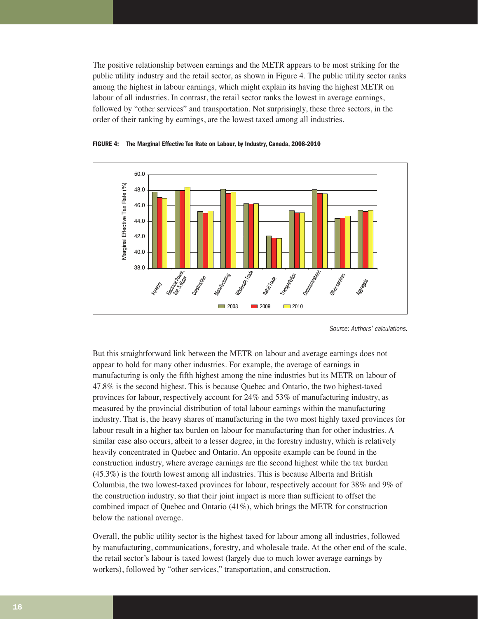The positive relationship between earnings and the METR appears to be most striking for the public utility industry and the retail sector, as shown in Figure 4. The public utility sector ranks among the highest in labour earnings, which might explain its having the highest METR on labour of all industries. In contrast, the retail sector ranks the lowest in average earnings, followed by "other services" and transportation. Not surprisingly, these three sectors, in the order of their ranking by earnings, are the lowest taxed among all industries.



**FIGURE 4: The Marginal Effective Tax Rate on Labour, by Industry, Canada, 2008-2010**

But this straightforward link between the METR on labour and average earnings does not appear to hold for many other industries. For example, the average of earnings in manufacturing is only the fifth highest among the nine industries but its METR on labour of 47.8% is the second highest. This is because Quebec and Ontario, the two highest-taxed provinces for labour, respectively account for 24% and 53% of manufacturing industry, as measured by the provincial distribution of total labour earnings within the manufacturing industry. That is, the heavy shares of manufacturing in the two most highly taxed provinces for labour result in a higher tax burden on labour for manufacturing than for other industries. A similar case also occurs, albeit to a lesser degree, in the forestry industry, which is relatively heavily concentrated in Quebec and Ontario. An opposite example can be found in the construction industry, where average earnings are the second highest while the tax burden (45.3%) is the fourth lowest among all industries. This is because Alberta and British Columbia, the two lowest-taxed provinces for labour, respectively account for 38% and 9% of the construction industry, so that their joint impact is more than sufficient to offset the combined impact of Quebec and Ontario (41%), which brings the METR for construction below the national average.

Overall, the public utility sector is the highest taxed for labour among all industries, followed by manufacturing, communications, forestry, and wholesale trade. At the other end of the scale, the retail sector's labour is taxed lowest (largely due to much lower average earnings by workers), followed by "other services," transportation, and construction.

Source: Authors' calculations.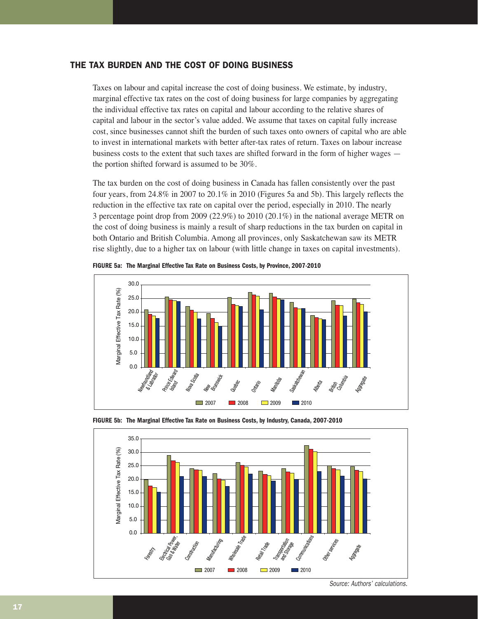# THE TAX BURDEN AND THE COST OF DOING BUSINESS

Taxes on labour and capital increase the cost of doing business. We estimate, by industry, marginal effective tax rates on the cost of doing business for large companies by aggregating the individual effective tax rates on capital and labour according to the relative shares of capital and labour in the sector's value added. We assume that taxes on capital fully increase cost, since businesses cannot shift the burden of such taxes onto owners of capital who are able to invest in international markets with better after-tax rates of return. Taxes on labour increase business costs to the extent that such taxes are shifted forward in the form of higher wages the portion shifted forward is assumed to be 30%.

The tax burden on the cost of doing business in Canada has fallen consistently over the past four years, from 24.8% in 2007 to 20.1% in 2010 (Figures 5a and 5b). This largely reflects the reduction in the effective tax rate on capital over the period, especially in 2010. The nearly 3 percentage point drop from 2009 (22.9%) to 2010 (20.1%) in the national average METR on the cost of doing business is mainly a result of sharp reductions in the tax burden on capital in both Ontario and British Columbia. Among all provinces, only Saskatchewan saw its METR rise slightly, due to a higher tax on labour (with little change in taxes on capital investments).



**FIGURE 5a: The Marginal Effective Tax Rate on Business Costs, by Province, 2007-2010**





Source: Authors' calculations.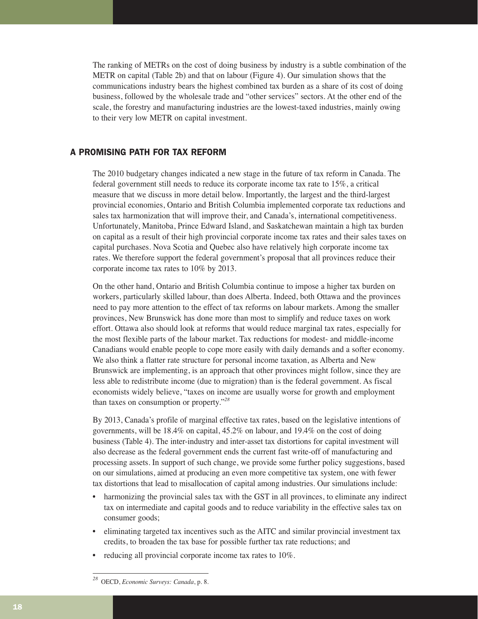The ranking of METRs on the cost of doing business by industry is a subtle combination of the METR on capital (Table 2b) and that on labour (Figure 4). Our simulation shows that the communications industry bears the highest combined tax burden as a share of its cost of doing business, followed by the wholesale trade and "other services" sectors. At the other end of the scale, the forestry and manufacturing industries are the lowest-taxed industries, mainly owing to their very low METR on capital investment.

# A PROMISING PATH FOR TAX REFORM

The 2010 budgetary changes indicated a new stage in the future of tax reform in Canada. The federal government still needs to reduce its corporate income tax rate to 15%, a critical measure that we discuss in more detail below. Importantly, the largest and the third-largest provincial economies, Ontario and British Columbia implemented corporate tax reductions and sales tax harmonization that will improve their, and Canada's, international competitiveness. Unfortunately, Manitoba, Prince Edward Island, and Saskatchewan maintain a high tax burden on capital as a result of their high provincial corporate income tax rates and their sales taxes on capital purchases. Nova Scotia and Quebec also have relatively high corporate income tax rates. We therefore support the federal government's proposal that all provinces reduce their corporate income tax rates to 10% by 2013.

On the other hand, Ontario and British Columbia continue to impose a higher tax burden on workers, particularly skilled labour, than does Alberta. Indeed, both Ottawa and the provinces need to pay more attention to the effect of tax reforms on labour markets. Among the smaller provinces, New Brunswick has done more than most to simplify and reduce taxes on work effort. Ottawa also should look at reforms that would reduce marginal tax rates, especially for the most flexible parts of the labour market. Tax reductions for modest- and middle-income Canadians would enable people to cope more easily with daily demands and a softer economy. We also think a flatter rate structure for personal income taxation, as Alberta and New Brunswick are implementing, is an approach that other provinces might follow, since they are less able to redistribute income (due to migration) than is the federal government. As fiscal economists widely believe, "taxes on income are usually worse for growth and employment than taxes on consumption or property."*<sup>28</sup>*

By 2013, Canada's profile of marginal effective tax rates, based on the legislative intentions of governments, will be 18.4% on capital, 45.2% on labour, and 19.4% on the cost of doing business (Table 4). The inter-industry and inter-asset tax distortions for capital investment will also decrease as the federal government ends the current fast write-off of manufacturing and processing assets. In support of such change, we provide some further policy suggestions, based on our simulations, aimed at producing an even more competitive tax system, one with fewer tax distortions that lead to misallocation of capital among industries. Our simulations include:

- harmonizing the provincial sales tax with the GST in all provinces, to eliminate any indirect tax on intermediate and capital goods and to reduce variability in the effective sales tax on consumer goods;
- eliminating targeted tax incentives such as the AITC and similar provincial investment tax credits, to broaden the tax base for possible further tax rate reductions; and
- reducing all provincial corporate income tax rates to 10%.

*<sup>28</sup>* OECD, *Economic Surveys: Canada*, p. 8.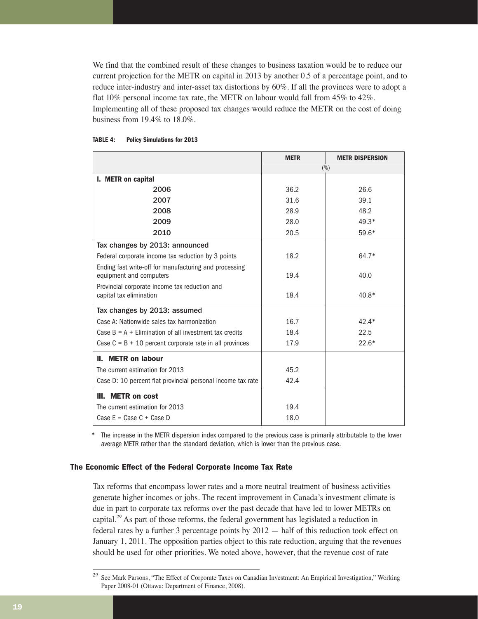We find that the combined result of these changes to business taxation would be to reduce our current projection for the METR on capital in 2013 by another 0.5 of a percentage point, and to reduce inter-industry and inter-asset tax distortions by 60%. If all the provinces were to adopt a flat 10% personal income tax rate, the METR on labour would fall from 45% to 42%. Implementing all of these proposed tax changes would reduce the METR on the cost of doing business from 19.4% to 18.0%.

|                                                                                   | <b>METR</b> | <b>METR DISPERSION</b> |  |
|-----------------------------------------------------------------------------------|-------------|------------------------|--|
|                                                                                   | (%)         |                        |  |
| I. METR on capital                                                                |             |                        |  |
| 2006                                                                              | 36.2        | 26.6                   |  |
| 2007                                                                              | 31.6        | 39.1                   |  |
| 2008                                                                              | 28.9        | 48.2                   |  |
| 2009                                                                              | 28.0        | $49.3*$                |  |
| 2010                                                                              | 20.5        | 59.6*                  |  |
| Tax changes by 2013: announced                                                    |             |                        |  |
| Federal corporate income tax reduction by 3 points                                | 18.2        | 64.7*                  |  |
| Ending fast write-off for manufacturing and processing<br>equipment and computers | 19.4        | 40.0                   |  |
| Provincial corporate income tax reduction and<br>capital tax elimination          | 18.4        | 40.8*                  |  |
| Tax changes by 2013: assumed                                                      |             |                        |  |
| Case A: Nationwide sales tax harmonization                                        | 16.7        | $42.4*$                |  |
| Case $B = A + Elimination of all investment tax credits$                          | 18.4        | 22.5                   |  |
| Case $C = B + 10$ percent corporate rate in all provinces                         | 17.9        | $22.6*$                |  |
| II. METR on labour                                                                |             |                        |  |
| The current estimation for 2013                                                   | 45.2        |                        |  |
| Case D: 10 percent flat provincial personal income tax rate                       | 42.4        |                        |  |
| III. METR on cost                                                                 |             |                        |  |
| The current estimation for 2013                                                   | 19.4        |                        |  |
| Case $E = Case C + Case D$                                                        | 18.0        |                        |  |

#### **TABLE 4: Policy Simulations for 2013**

The increase in the METR dispersion index compared to the previous case is primarily attributable to the lower average METR rather than the standard deviation, which is lower than the previous case.

# The Economic Effect of the Federal Corporate Income Tax Rate

Tax reforms that encompass lower rates and a more neutral treatment of business activities generate higher incomes or jobs. The recent improvement in Canada's investment climate is due in part to corporate tax reforms over the past decade that have led to lower METRs on capital.*<sup>29</sup>* As part of those reforms, the federal government has legislated a reduction in federal rates by a further 3 percentage points by 2012 — half of this reduction took effect on January 1, 2011. The opposition parties object to this rate reduction, arguing that the revenues should be used for other priorities. We noted above, however, that the revenue cost of rate

*<sup>29</sup>* See Mark Parsons, "The Effect of Corporate Taxes on Canadian Investment: An Empirical Investigation," Working Paper 2008-01 (Ottawa: Department of Finance, 2008).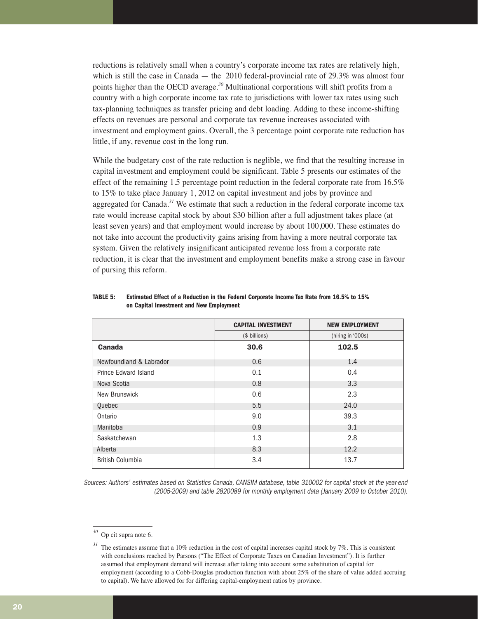reductions is relatively small when a country's corporate income tax rates are relatively high, which is still the case in Canada — the 2010 federal-provincial rate of  $29.3\%$  was almost four points higher than the OECD average.*<sup>30</sup>* Multinational corporations will shift profits from a country with a high corporate income tax rate to jurisdictions with lower tax rates using such tax-planning techniques as transfer pricing and debt loading. Adding to these income-shifting effects on revenues are personal and corporate tax revenue increases associated with investment and employment gains. Overall, the 3 percentage point corporate rate reduction has little, if any, revenue cost in the long run.

While the budgetary cost of the rate reduction is neglible, we find that the resulting increase in capital investment and employment could be significant. Table 5 presents our estimates of the effect of the remaining 1.5 percentage point reduction in the federal corporate rate from 16.5% to 15% to take place January 1, 2012 on capital investment and jobs by province and aggregated for Canada.*<sup>31</sup>* We estimate that such a reduction in the federal corporate income tax rate would increase capital stock by about \$30 billion after a full adjustment takes place (at least seven years) and that employment would increase by about 100,000. These estimates do not take into account the productivity gains arising from having a more neutral corporate tax system. Given the relatively insignificant anticipated revenue loss from a corporate rate reduction, it is clear that the investment and employment benefits make a strong case in favour of pursing this reform.

|                         | <b>CAPITAL INVESTMENT</b> | <b>NEW EMPLOYMENT</b> |
|-------------------------|---------------------------|-----------------------|
|                         | (\$ billions)             | (hiring in '000s)     |
| Canada                  | 30.6                      | 102.5                 |
| Newfoundland & Labrador | 0.6                       | 1.4                   |
| Prince Edward Island    | 0.1                       | 0.4                   |
| Nova Scotia             | 0.8                       | 3.3                   |
| New Brunswick           | 0.6                       | 2.3                   |
| Quebec                  | 5.5                       | 24.0                  |
| Ontario                 | 9.0                       | 39.3                  |
| Manitoba                | 0.9                       | 3.1                   |
| Saskatchewan            | 1.3                       | 2.8                   |
| Alberta                 | 8.3                       | 12.2                  |
| <b>British Columbia</b> | 3.4                       | 13.7                  |

### **TABLE 5: Estimated Effect of a Reduction in the Federal Corporate Income Tax Rate from 16.5% to 15% on Capital Investment and New Employment**

Sources: Authors' estimates based on Statistics Canada, CANSIM database, table 310002 for capital stock at the year-end (2005-2009) and table 2820089 for monthly employment data (January 2009 to October 2010).

*<sup>30</sup>* Op cit supra note 6.

*<sup>31</sup>* The estimates assume that a 10% reduction in the cost of capital increases capital stock by 7%. This is consistent with conclusions reached by Parsons ("The Effect of Corporate Taxes on Canadian Investment"). It is further assumed that employment demand will increase after taking into account some substitution of capital for employment (according to a Cobb-Douglas production function with about 25% of the share of value added accruing to capital). We have allowed for for differing capital-employment ratios by province.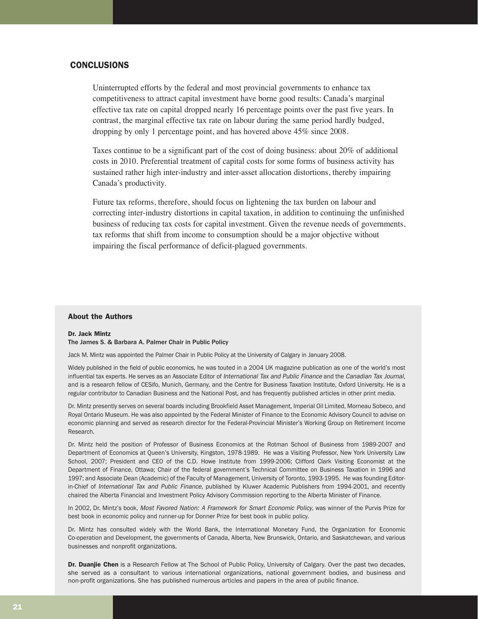# **CONCLUSIONS**

Uninterrupted efforts by the federal and most provincial governments to enhance tax competitiveness to attract capital investment have borne good results: Canada's marginal effective tax rate on capital dropped nearly 16 percentage points over the past five years. In contrast, the marginal effective tax rate on labour during the same period hardly budged, dropping by only 1 percentage point, and has hovered above 45% since 2008.

Taxes continue to be a significant part of the cost of doing business: about 20% of additional costs in 2010. Preferential treatment of capital costs for some forms of business activity has sustained rather high inter-industry and inter-asset allocation distortions, thereby impairing Canada's productivity.

Future tax reforms, therefore, should focus on lightening the tax burden on labour and correcting inter-industry distortions in capital taxation, in addition to continuing the unfinished business of reducing tax costs for capital investment. Given the revenue needs of governments, tax reforms that shift from income to consumption should be a major objective without impairing the fiscal performance of deficit-plagued governments.

# About the Authors

# Dr. Jack Mintz

The James S. & Barbara A. Palmer Chair in Public Policy

Jack M. Mintz was appointed the Palmer Chair in Public Policy at the University of Calgary in January 2008.

Widely published in the field of public economics, he was touted in a 2004 UK magazine publication as one of the world's most influential tax experts. He serves as an Associate Editor of International Tax and Public Finance and the Canadian Tax Journal, and is a research fellow of CESifo, Munich, Germany, and the Centre for Business Taxation Institute, Oxford University. He is a regular contributor to Canadian Business and the National Post, and has frequently published articles in other print media.

Dr. Mintz presently serves on several boards including Brookfield Asset Management, Imperial Oil Limited, Morneau Sobeco, and Royal Ontario Museum. He was also appointed by the Federal Minister of Finance to the Economic Advisory Council to advise on economic planning and served as research director for the Federal-Provincial Minister's Working Group on Retirement Income Research.

Dr. Mintz held the position of Professor of Business Economics at the Rotman School of Business from 1989-2007 and Department of Economics at Queen's University, Kingston, 1978-1989. He was a Visiting Professor, New York University Law School, 2007; President and CEO of the C.D. Howe Institute from 1999-2006; Clifford Clark Visiting Economist at the Department of Finance, Ottawa; Chair of the federal government's Technical Committee on Business Taxation in 1996 and 1997; and Associate Dean (Academic) of the Faculty of Management, University of Toronto, 1993-1995. He was founding Editorin-Chief of International Tax and Public Finance, published by Kluwer Academic Publishers from 1994-2001, and recently chaired the Alberta Financial and Investment Policy Advisory Commission reporting to the Alberta Minister of Finance.

In 2002, Dr. Mintz's book, Most Favored Nation: A Framework for Smart Economic Policy, was winner of the Purvis Prize for best book in economic policy and runner-up for Donner Prize for best book in public policy.

Dr. Mintz has consulted widely with the World Bank, the International Monetary Fund, the Organization for Economic Co-operation and Development, the governments of Canada, Alberta, New Brunswick, Ontario, and Saskatchewan, and various businesses and nonprofit organizations.

Dr. Duanjie Chen is a Research Fellow at The School of Public Policy, University of Calgary. Over the past two decades, she served as a consultant to various international organizations, national government bodies, and business and non-profit organizations. She has published numerous articles and papers in the area of public finance.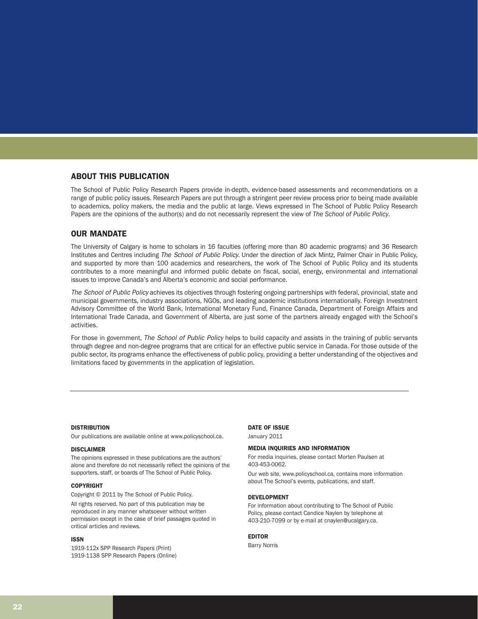# ABOUT THIS PUBLICATION

The School of Public Policy Research Papers provide in-depth, evidence-based assessments and recommendations on a range of public policy issues. Research Papers are put through a stringent peer review process prior to being made available to academics, policy makers, the media and the public at large. Views expressed in The School of Public Policy Research Papers are the opinions of the author(s) and do not necessarily represent the view of *The School of Public Policy*.

## OUR MANDATE

The University of Calgary is home to scholars in 16 faculties (offering more than 80 academic programs) and 36 Research Institutes and Centres including The School of Public Policy. Under the direction of Jack Mintz, Palmer Chair in Public Policy, and supported by more than 100 academics and researchers, the work of The School of Public Policy and its students contributes to a more meaningful and informed public debate on fiscal, social, energy, environmental and international issues to improve Canada's and Alberta's economic and social performance.

The School of Public Policy achieves its objectives through fostering ongoing partnerships with federal, provincial, state and municipal governments, industry associations, NGOs, and leading academic institutions internationally. Foreign Investment Advisory Committee of the World Bank, International Monetary Fund, Finance Canada, Department of Foreign Affairs and International Trade Canada, and Government of Alberta, are just some of the partners already engaged with the School's activities.

For those in government, The School of Public Policy helps to build capacity and assists in the training of public servants through degree and non-degree programs that are critical for an effective public service in Canada. For those outside of the public sector, its programs enhance the effectiveness of public policy, providing a better understanding of the objectives and limitations faced by governments in the application of legislation.

#### **DISTRIBUTION**

Our publications are available online at www.policyschool.ca.

#### DISCLAIMER

The opinions expressed in these publications are the authors' alone and therefore do not necessarily reflect the opinions of the supporters, staff, or boards of The School of Public Policy.

#### COPYRIGHT

Copyright © 2011 by The School of Public Policy.

All rights reserved. No part of this publication may be reproduced in any manner whatsoever without written permission except in the case of brief passages quoted in critical articles and reviews.

#### ISSN

1919-112x SPP Research Papers (Print) 1919-1138 SPP Research Papers (Online)

# DATE OF ISSUE

January 2011

#### MEDIA INQUIRIES AND INFORMATION

For media inquiries, please contact Morten Paulsen at 403-453-0062.

Our web site, www.policyschool.ca, contains more information about The School's events, publications, and staff.

#### DEVELOPMENT

For information about contributing to The School of Public Policy, please contact Candice Naylen by telephone at 403-210-7099 or by e-mail at cnaylen@ucalgary.ca.

#### EDITOR

Barry Norris